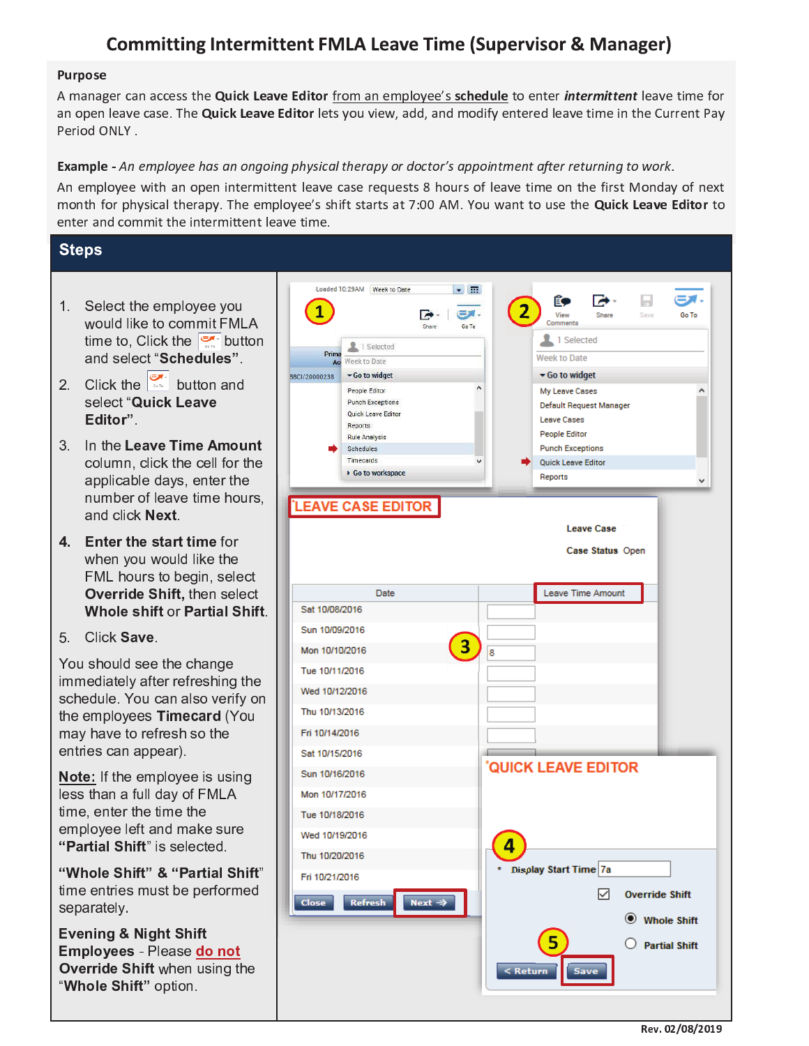# **Committing Intermittent FMLA Leave Time (Supervisor & Manager)**

#### **Purpose**

A manager can access the **Quick Leave Editor** from an emplovee's schedule to enter *intermittent* leave time for an open leave case. The Quick Leave Editor lets you view, add, and modify entered leave time in the Current Pay Period ONLY.

### Example - An employee has an ongoing physical therapy or doctor's appointment after returning to work.

An employee with an open intermittent leave case requests 8 hours of leave time on the first Monday of next month for physical therapy. The employee's shift starts at 7:00 AM. You want to use the Quick Leave Editor to enter and commit the intermittent leave time.

## **Steps**

- 1. Select the employee you would like to commit FMLA time to, Click the  $\frac{1}{\sqrt{2}}$  button and select "Schedules".
- 2. Click the  $\begin{array}{|c|c|c|c|c|}\n\hline\n\text{2.} & \text{Click the} & \text{button and} \\
\hline\n\end{array}$ select "Quick Leave Editor".
- 3. In the Leave Time Amount column, click the cell for the applicable days, enter the number of leave time hours, and click Next.
- 4. Enter the start time for when you would like the FML hours to begin, select Override Shift, then select **Whole shift or Partial Shift.**

5. Click Save.

You should see the change immediately after refreshing the schedule. You can also verify on the employees Timecard (You may have to refresh so the entries can appear).

Note: If the employee is using less than a full day of FMLA time, enter the time the employee left and make sure "Partial Shift" is selected.

"Whole Shift" & "Partial Shift" time entries must be performed separately.

**Evening & Night Shift** Employees - Please do not Override Shift when using the "Whole Shift" option.